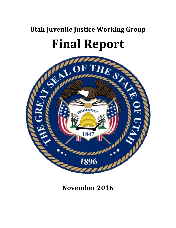# **Utah Juvenile Justice Working Group Final Report**



# **November 2016**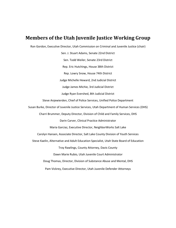# **Members of the Utah Juvenile Justice Working Group**

Ron Gordon, Executive Director, Utah Commission on Criminal and Juvenile Justice (chair)

Sen. J. Stuart Adams, Senate 22nd District Sen. Todd Weiler, Senate 23rd District Rep. Eric Hutchings, House 38th District Rep. Lowry Snow, House 74th District Judge Michelle Heward, 2nd Judicial District Judge James Michie, 3rd Judicial District Judge Ryan Evershed, 8th Judicial District Steve Anjewierden, Chief of Police Services, Unified Police Department Susan Burke, Director of Juvenile Justice Services, Utah Department of Human Services (DHS) Charri Brummer, Deputy Director, Division of Child and Family Services, DHS Darin Carver, Clinical Practice Administrator Maria Garciaz, Executive Director, NeighborWorks Salt Lake Carolyn Hansen, Associate Director, Salt Lake County Division of Youth Services Steve Kaelin, Alternative and Adult Education Specialist, Utah State Board of Education Troy Rawlings, County Attorney, Davis County Dawn Marie Rubio, Utah Juvenile Court Administrator Doug Thomas, Director, Division of Substance Abuse and Mental, DHS Pam Vickrey, Executive Director, Utah Juvenile Defender Attorneys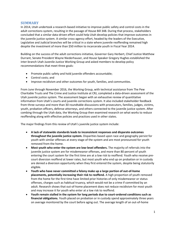#### **SUMMARY**

In 2014, Utah undertook a research-based initiative to improve public safety and control costs in the adult corrections system, resulting in the passage of House Bill 348. During that process, stakeholders concluded that a similar data-driven effort could help Utah develop policies that improve outcomes in the juvenile justice system. A similar cross-agency effort, headed by the leaders of the Executive, Legislative and Judicial branches will be critical in a state where juvenile reoffending remained high despite the investment of more than \$50 million to incarcerate youth in Fiscal Year 2014.

Building on the success of the adult corrections initiative, Governor Gary Herbert, Chief Justice Matthew Durrant, Senate President Wayne Niederhauser, and House Speaker Gregory Hughes established the inter-branch Utah Juvenile Justice Working Group and asked members to develop policy recommendations that meet three goals:

- Promote public safety and hold juvenile offenders accountable;
- Control costs; and
- Improve recidivism and other outcomes for youth, families, and communities.

From June through November 2016, the Working Group, with technical assistance from The Pew Charitable Trusts and The Crime and Justice Institute at CRJ, completed a data-driven assessment of the Utah juvenile justice system. The assessment began with an exhaustive review of quantitative information from Utah's courts and juvenile corrections system. It also included stakeholder feedback from three surveys and more than 30 roundtable discussions with prosecutors, families, judges, victims, youth, probation officers, defense attorneys, and others connected to the juvenile justice system. After combing through the Utah data, the Working Group then examined research on what works to reduce reoffending along with effective policies and practices used in other states.

The major findings from this review of Utah's juvenile justice system include:

- **A lack of statewide standards leads to inconsistent responses and disparate outcomes throughout the juvenile justice system.** Disparities based upon race and geography persist for youth with similar offenses at every stage of the system and are most pronounced for youth removed from the home.
- **Most youth who enter the system are low-level offenders.** The majority of referrals into the juvenile justice system are for misdemeanor offenses, and more than 80 percent of youth entering the court system for the first time are at a low risk to reoffend. Youth who receive precourt diversion reoffend at lower rates, but most youth who end up on probation or in custody are denied a diversion opportunity when they first entered the system, despite being statutorily eligible.
- **Youth who have never committed a felony make up a large portion of out-of-home placements, potentially increasing their risk to reoffend.** A high proportion of youth removed from the home for the first time have limited prior histories of only misdemeanor or status offenses, charges such as habitual truancy, which would not be a crime if committed by an adult. Research shows that out-of-home placement does not reduce recidivism for most youth and may increase it for youth who enter at a low risk to reoffend.
- **Youth remain stalled in the system for long periods due to court-ordered conditions such as financial obligations.** Youth placed on probation or in custody spend approximately three years on average monitored by the court before aging out. The average length of an out-of-home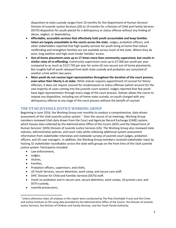disposition to state custody ranges from 10 months for the Department of Human Services' Division of Juvenile Justice Services (JJS) to 19 months for a Division of Child and Family Services (DCFS) disposition for youth placed for a delinquency or status offense without any finding of abuse, neglect, or dependency.

- **Affordable, accessible services that effectively hold youth accountable and keep families intact are largely unavailable to the courts across the state.** Judges, probation officers, and other stakeholders reported that high-quality services for youth living at home that reduce reoffending and strengthen families are not available across much of the state. Where they do exist, long waitlists and high costs hinder families' access.
- **Out-of-home placement costs up to 17 times more than community supervision, but results in similar rates of re-offending.** Community supervision costs up to \$7,500 per youth per year compared to as much as \$127,750 per year for some JJS non-secure out-of-home placements. But roughly half of youth released from both state custody and probation are convicted of another crime within two years.
- **Most youth do not receive legal representation throughout the duration of the court process, even when their liberty is at stake.** While statute requires appointment of counsel for felony offenses, it does not require counsel for misdemeanor or status offenses (which account for the vast majority of cases coming into the juvenile court system). Judges reported that few youth have legal representation through every stage of the court process. Statute allows the courts to impose any disposition, including out-of-home state custody, on youth charged with any delinquency offense at any stage of the court process without the benefit of counsel.

# **THE UTAH JUVENILE JUSTICE WORKING GROUP**

Beginning in June 2016, the Working Group met monthly to conduct a comprehensive, data-driven assessment of the Utah juvenile justice system.<sup>1</sup> Over the course of six meetings, Working Group members reviewed Utah data drawn from the Court and Agencies Record Exchange (CARE) system, which houses data collected by the Administrative Office of the Courts (AOC) and the Department of Human Services' (DHS) Division of Juvenile Justice Services (JJS). The Working Group also reviewed state statutes, administrative policies, and court rules while collecting additional system assessment information from stakeholder interviews and statewide surveys of juvenile court judges, probation officers, and JJS case managers. In addition, the Working Group members received stakeholder input by hosting 32 stakeholder roundtables across the state with groups on the front lines of the Utah juvenile justice system. Participants included:

- Law enforcement,
- Judges,
- Victims,

 $\overline{\phantom{a}}$ 

- Families,
- Probation officers, supervisors, and chiefs,
- JJS Youth Services, secure detention, work camp, and secure care staff,
- DHS' Division for Child and Families Services (DCFS) staff,
- Youth on probation and in secure care, secure detention, work camps, JJS proctor care, and DCFS custody,
- Juvenile prosecutors,

 $^1$  Unless otherwise cited, all analyses in this report were conducted by The Pew Charitable Trusts and the Crime and Justice Institute at CRJ using data provided by the Administrative Office of the Courts, the Division of Juvenile Justice Services, the Division of Children and Family Services, and the Youth Parole Authority.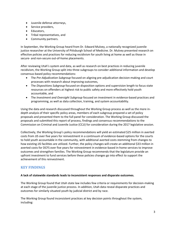- Juvenile defense attorneys,
- Service providers,
- Educators,
- Tribal representatives, and
- Community partners.

In September, the Working Group heard from Dr. Edward Mulvey, a nationally recognized juvenile justice researcher at the University of Pittsburgh School of Medicine. Dr. Mulvey presented research on effective policies and practices for reducing recidivism for youth living at home as well as those in secure- and non-secure out-of-home placements.

After reviewing Utah's system and data, as well as research on best practices in reducing juvenile recidivism, the Working Group split into three subgroups to consider additional information and develop consensus-based policy recommendations:

- The *Pre-Adjudication Subgroup* focused on aligning pre-adjudication decision-making and court processes with research about improving outcomes,
- The *Dispositions Subgroup* focused on disposition options and supervision length to focus state resources on offenders at highest risk to public safety and more effectively hold youth accountable, and
- The *Investment and Oversight Subgroup* focused on investment in evidence-based practices and programming, as well as data collection, training, and system accountability.

Using the data and research discussed throughout the Working Group process as well as the more indepth analysis of their specific policy areas, members of each subgroup prepared a set of policy proposals and presented them to the full panel for consideration. The Working Group discussed the proposals and submitted this report of process, findings and consensus recommendations to the Commission on Criminal and Juvenile Justice (CCJJ) for consideration during the 2017 legislative session.

Collectively, the Working Group's policy recommendations will yield an estimated \$25 million in averted costs from JJS over five years for reinvestment in a continuum of evidence-based options for the courts to hold youth accountable in the community, with additional averted costs stemming from changes to how existing JJS facilities are utilized. Further, the policy changes will create an additional \$33 million in averted costs for DCFS over five years for reinvestment in evidence-based in-home services to improve outcomes and strengthen families. The Working Group recommends that the legislature provide an upfront investment to fund services before these policies changes go into effect to support the achievement of this reinvestment.

# **KEY FINDINGS**

#### **A lack of statewide standards leads to inconsistent responses and disparate outcomes.**

The Working Group found that Utah state law includes few criteria or requirements for decision-making at each stage of the juvenile justice process. In addition, Utah data reveal disparate practices and outcomes for similarly situated youth by judicial district and by race.

The Working Group found inconsistent practices at key decision points throughout the system, including: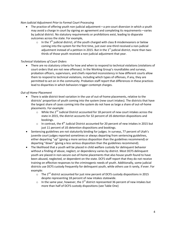#### *Non-Judicial Adjustment Prior to Formal Court Processing*

- The practice of offering youth non-judicial adjustment—a pre-court diversion in which a youth may avoid a charge in court by signing an agreement and completing its requirements—varies by judicial district. No statutory requirements or prohibitions exist, leading to disparate outcomes across the state. For example,
	- $\circ$  In the 7<sup>th</sup> judicial district, of the youth charged with class B misdemeanors or below coming into the system for the first time, just over one-third received a non-judicial adjustment instead of a petition in 2015. But in the  $1<sup>st</sup>$  judicial district, more than twothirds of those youth received a non-judicial adjustment that year.

#### *Technical Violations of Court Orders*

 There are no statutory criteria for how and when to respond to technical violations (violations of court orders that are not new offenses). In the Working Group's roundtables and surveys, probation officers, supervisors, and chiefs reported inconsistency in how different courts allow them to respond to technical violations, including which types of offenses, if any, they are permitted to act on in the community. Probation staff report that differences in these practices lead to disparities in which behaviors trigger contempt charges.

#### *Out-of-Home Placement*

- There is wide district-level variation in the use of out-of-home placements, relative to the districts' proportion of youth coming into the system (new court intakes). The districts that have the largest share of cases coming into the system do not have as large a share of out-of-home placements. For example:
	- $\circ$  While the 2<sup>nd</sup> Judicial District accounted for 18 percent of new court intakes across the state in 2015, the district accounts for 32 percent of JJS detention dispositions and bookings.
	- $\circ$  In contrast, the 4<sup>th</sup> Judicial District accounted for 20 percent of new intakes in 2015 but just 11 percent of JJS detention dispositions and bookings.
- Sentencing guidelines are not statutorily binding for judges. In surveys, 77 percent of Utah's juvenile court judges reported sometimes or always departing from sentencing guidelines, either departing "up" (giving a more serious disposition than the guidelines recommend) or departing "down" (giving a less serious disposition than the guidelines recommend).
- The likelihood that a youth will be placed in child welfare custody for delinquent behavior without a finding of abuse, neglect, or dependency varies by district. Most DCFS delinquent youth are placed in non-secure out-of-home placements that also house youth found to have been abused, neglected, or dependent on the state. DCFS staff report that they do not receive training on effective responses to the criminogenic needs of youth. Additionally, some judicial districts use DCFS custody frequently for delinquent youth, while others use it rarely, if ever. For example:
	- $\circ$  The 2<sup>nd</sup> district accounted for just nine percent of DCFS custody dispositions in 2015 despite representing 18 percent of new intakes statewide.
	- $\circ$  In the same year, however, the 3<sup>rd</sup> district represented 36 percent of new intakes but more than half of DCFS custody dispositions (see Table One)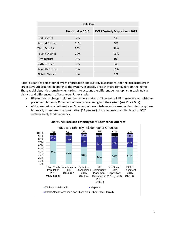| <b>Table One</b>       |                  |                                       |
|------------------------|------------------|---------------------------------------|
|                        | New Intakes 2015 | <b>DCFS Custody Dispositions 2015</b> |
| <b>First District</b>  | 7%               | 1%                                    |
| <b>Second District</b> | 18%              | 9%                                    |
| <b>Third District</b>  | 36%              | 56%                                   |
| <b>Fourth District</b> | 20%              | 16%                                   |
| <b>Fifth District</b>  | 8%               | 0%                                    |
| <b>Sixth District</b>  | 3%               | 3%                                    |
| Seventh District       | 3%               | 11%                                   |
| <b>Eighth District</b> | 4%               | 2%                                    |

Racial disparities persist for all types of probation and custody dispositions, and the disparities grow larger as youth progress deeper into the system, especially once they are removed from the home. These racial disparities remain when taking into account the different demographics in each judicial district, and differences in offense type. For example:

- Hispanic youth charged with misdemeanors make up 43 percent of JJS non-secure out-of-home placement, but only 23 percent of new cases coming into the system (see Chart One)
- African-American youth make up 5 percent of new misdemeanor cases coming into the system, but nearly three times that proportion (14 percent) of misdemeanor youth placed in DCFS custody solely for delinquency.



**Chart One: Race and Ethnicity for Misdemeanor Offenses**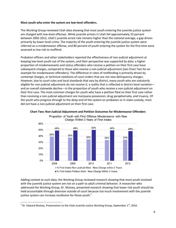#### **Most youth who enter the system are low-level offenders.**

The Working Group reviewed Utah data showing that most youth entering the juvenile justice system are charged with low-level offenses. While juvenile arrests in Utah fell approximately 33 percent between 2002-2012, Utah's juvenile arrest rate remains higher than the national average, a gap driven primarily by lower-level crime. The majority of the youth entering the juvenile justice system were referred on a misdemeanor offense, and 80 percent of youth entering the system for the first time were assessed as low risk to reoffend.

Probation officers and other stakeholders reported the effectiveness of non-judicial adjustment at keeping low-level youth out of the system, and their perspective was supported by data: a higher proportion of misdemeanants and status offenders who receive a petition on their first case have subsequent charges, compared to those who receive a non-judicial adjustment (see Chart Two for an example for misdemeanor offenders). The difference in rates of reoffending is primarily driven by contempt charges, or technical violations of court orders that are not new delinquency charges. However, due to court rules and local standards that vary by district, many youth who are statutorily eligible for non-judicial adjustment do not receive it, a reality that is reflected in district-level variation and an overall statewide decline—in the proportion of youth who receive a non-judicial adjustment on their first case. The most common charges for youth who have a petition filed on their first case rather than receiving a non-judicial adjustment are marijuana possession, drug paraphernalia, and truancy. Of the youth who progress through to the deep end of the system on probation or in state custody, most did not have a non-judicial adjustment on their first case.



#### **Chart Two: Non-Judicial Adjustment and Petition Outcomes for Misdemeanor Offenders** Proportion of Youth with First Offense Misdemeanor with New

Adding context to such data, the Working Group reviewed research showing that most youth involved with the juvenile justice system are not on a path to adult criminal behavior. A researcher who addressed the Working Group, Dr. Mulvey, presented research showing that lower risk youth should be held accountable through diversion outside of court because too much involvement with the juvenile

justice system can increase recidivism for those youth. $2$ 

 $\overline{\phantom{a}}$ <sup>2</sup> Dr. Edward Mulvey, Presentation to the Utah Juvenile Justice Working Group, September 1<sup>st</sup>, 2016.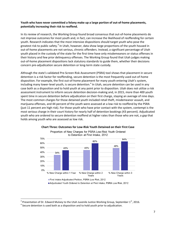#### **Youth who have never committed a felony make up a large portion of out-of-home placements, potentially increasing their risk to reoffend.**

In its review of research, the Working Group found broad consensus that out-of-home placements do not improve outcomes for most youth and, in fact, can increase the likelihood of reoffending for certain youth. Research indicates that the most intensive dispositions should target youth who pose the greatest risk to public safety.<sup>3</sup> In Utah, however, data show large proportions of the youth housed in out-of-home placements are not serious, chronic offenders. Instead, a significant percentage of Utah youth placed in the custody of the state for the first time have only misdemeanors or status offenses in their history and few prior delinquency offenses. The Working Group found that Utah judges making out-of-home placement dispositions lack statutory standards to guide them, whether their decisions concern pre-adjudication secure detention or long-term state custody.

Although the state's validated Pre-Screen Risk Assessment (PSRA) tool shows that placement in secure detention is a risk factor for reoffending, secure detention is the most frequently used out-of-home disposition. For example, the first out-of-home placement for many youth entering Utah's system, including many lower-level youth, is secure detention.<sup>4</sup> In Utah, secure detention can be used in any case both as a disposition and to hold youth at any point prior to disposition. Utah does not utilize a risk assessment instrument to inform secure detention decision-making and, in 2015, more than 400 youth spent time in secure detention before adjudication on their first charge, staying an average of nine days. The most common charges for those detained youth included retail theft, misdemeanor assault, and marijuana offenses, and 44 percent of the youth were assessed at a low risk to reoffend by the PSRA (just 11 percent are high risk). For those youth who have prior contact with the system, contempt is the most serious charge in their court history for nearly half of detention bookings (43 percent). Adjudicated youth who are ordered to secure detention reoffend at higher rates than those who are not, a gap that holds among youth who are assessed as low risk.



#### **Chart Three: Outcomes for Low-Risk Youth Detained on their First Case**

l

<sup>&</sup>lt;sup>3</sup> Presentation of Dr. Edward Mulvey to the Utah Juvenile Justice Working Group, September 1<sup>st</sup>, 2016.

 $<sup>4</sup>$  Secure detention is used both as a disposition and to hold youth prior to adjudication.</sup>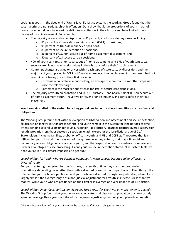Looking at youth in the deep end of Utah's juvenile justice system, the Working Group found that the vast majority are not serious, chronic offenders. Data show that large proportions of youth in out-ofhome placement do not have serious delinquency offenses in their history and have limited or no history of court involvement. For example:

- The majority of out-of-home dispositions (81 percent) are for non-felony cases, including:
	- o 81 percent of Observation and Assessment (O&A) dispositions,
	- o 91 percent of DCFS delinquency dispositions,
	- o 83 percent of secure detention dispositions,
	- o 86 percent of JJS non-secure out-of-home placement dispositions, and
	- o 50 percent of JJS secure care dispositions.
- 40% of youth sent to JJS non-secure, out-of-home placements and 17% of youth sent to JJS secure care did not have a prior felony in their history before their first placement.
- Contempt charges are a major driver within each type of state custody disposition, and the majority of youth placed in DCFS or JJS non-secure out-of-home placement on contempt had not committed a felony prior to their first placement.
	- $\circ$  For those who did have a prior felony, an average of more than six months had passed since the felony charge.
	- o Contempt is the most serious offense for 19% of secure care dispositions.
- The majority of youth on probation and in DCFS custody —and nearly half of JJS non-secure outof-home placement youth—have two or fewer prior delinquency incidents before their first placement.

#### **Youth remain stalled in the system for a long period due to court-ordered conditions such as financial obligations.**

The Working Group found that with the exception of Observation and Assessment and secure detention, all disposition lengths in Utah are indefinite, and youth remain in the system for long periods of time, often spending several years under court jurisdiction. No statutory language restricts overall supervision length, probation length, or custody disposition length, except for the jurisdictional age of  $21<sup>5</sup>$ Stakeholders, including families, probation officers, youth, and JJS and DCFS staff, reported that it is difficult for youth to work their way out of the system once they enter it, that major financial and community service obligations overwhelm youth, and that expectations and incentives for release are unclear at all stages of case processing. As one youth in secure detention stated, "The system feels like once you're in it, it's almost impossible to get out."

#### *Length of Stay for Youth Who Are Formally Petitioned is Much Longer, Despite Similar Offenses to Diverted Youth*

For youth entering the system for the first time, the length of time they are monitored varies dramatically depending on whether the youth is diverted or sent to court (petitioned). Even though the offenses for youth who are petitioned and youth who are diverted through non-judicial adjustment are largely similar, the average length of a non-judicial adjustment for a youth's first case is less than two months, while youth who are petitioned on their first case average one year under court jurisdiction.

*Length of Stay Under Court Jurisdiction Averages Three Years for Youth Put on Probation or in Custody*  The Working Group found that youth who are adjudicated and disposed to probation or state custody spend on average three years monitored by the juvenile justice system. All youth placed on probation

 $\overline{\phantom{a}}$ 

<sup>&</sup>lt;sup>5</sup>The jurisdictional limit of 21 years of age can be surpassed if financial obligations remain.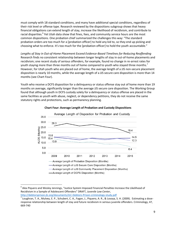must comply with 18 standard conditions, and many have additional special conditions, regardless of their risk level or offense type. Research reviewed by the dispositions subgroup shows that heavy financial obligations can extend length of stay, increase the likelihood of recidivism, and contribute to racial disparities.<sup>6</sup> Yet Utah data show that fines, fees, and community service hours are the most common dispositions. One probation chief summarized the challenges this way: "The standard probation orders are too much for a [probation officer] to hold any kid to, so they end up picking and choosing what to enforce. It's too much for the [probation officer] to hold the youth accountable."

*Lengths of Stay in Out-of-Home Placement Exceed Evidence-Based Timelines for Reducing Reoffending* Research finds no consistent relationship between longer lengths of stay in out-of-home placements and recidivism; one recent study of serious offenders, for example, found no change in re-arrest rates for youth staying more than three months out of home compared to youth who stayed three months.<sup>7</sup> However, for Utah youth who are placed out of home, the average length of a JJS non-secure placement disposition is nearly 10 months, while the average length of a JJS secure care disposition is more than 14 months (see Chart Four).

Youth who receive a DCFS disposition for a delinquency or status offense stay out of home more than 19 months on average, significantly longer than the average JJS secure care disposition. The Working Group found that although youth in DCFS custody solely for a delinquency or status offense are placed in the same facilities as youth with abuse, neglect, or dependency petitions, they do not receive the same statutory rights and protections, such as permanency planning.



#### **Chart Four: Average Length of Probation and Custody Dispositions**

<http://debtorsprison.jlc.org/documents/JLC-Debtors-Prison-criminology-study.pdf>

 $\overline{a}$ 

<sup>&</sup>lt;sup>6</sup> Alex Piquero and Wesley Jennings, "Justice System Imposed Financial Penalties Increase the Likelihood of Recidivism in a Sample of Adolescent Offenders" DRAFT, *Juvenile Law Center*,

<sup>&</sup>lt;sup>7</sup> Loughran, T. A., Mulvey, E. P., Schubert, C. A., Fagan, J., Piquero, A. R., & Losoya, S. H. (2009). Estimating a doseresponse relationship between length of stay and future recidivism in serious juvenile offenders. Criminology, 47, 669-740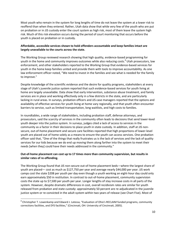Most youth who remain in the system for long lengths of time do not leave the system at a lower risk to reoffend than when they entered. Rather, Utah data show that while very few of the youth who are put on probation or in JJS custody enter the court system as high risk, most of them leave the system high risk. Much of this risk elevation occurs during the period of court monitoring that occurs before the youth is placed on probation or in custody.

#### **Affordable, accessible services shown to hold offenders accountable and keep families intact are largely unavailable to the courts across the state.**

The Working Group reviewed research showing that high quality, evidence-based programming for youth in the home and community improves outcomes while also reducing costs.<sup>8</sup> Utah prosecutors, law enforcement, and other stakeholders reported to the Working Group that evidence-based services for youth in the home keep families united and provide them with tools to improve accountability. As one law enforcement officer noted, "We need to invest in the families and see what is needed for the family to improve."

Despite knowledge of the scientific evidence and the desire for quality programs, stakeholders at every stage of Utah's juvenile justice system reported that such evidence-based services for youth living at home are largely unavailable. Data show that early intervention, substance abuse treatment, and family services are in place and working effectively only in a few districts in the state, and are particularly lacking in rural areas. In surveys, probation officers and JJS case managers reported that the options and availability of effective services for youth living at home vary regionally, and that youth often encounter barriers to service, such as limited transportation, long waitlists, and high costs to families.

In roundtables, a wide range of stakeholders, including probation staff, defense attorneys, and prosecutors, said the scarcity of services in the community often leads to decisions that send lower-level youth deeper into the justice system. In surveys, judges cited a lack of access to services in the community as a factor in their decisions to place youth in state custody. In addition, staff at JJS nonsecure, out-of-home placement and secure care facilities reported that high proportions of lower-level youth are placed out of home solely as a means to ensure the youth can access services. One probation officer said that, "One of the things that really frustrates us is the lack of services and the lack of quality services for our kids because we do end up moving them along farther into the system to meet their needs [when they] could have their needs addressed in the community."

#### **Out-of-home placement can cost up to 17 times more than community supervision, but results in similar rates of re-offending.**

The Working Group found that JJS non-secure out-of-home placement beds—where the largest share of youth are placed— cost as much as \$127,750 per year and average nearly \$44,000 per year. JJS work camps cost the state \$208 per youth per day even though a youth working an eight-hour day could only earn approximately \$50 in restitution. In contrast to out-of-home placement, community supervision costs the state up to \$7,500 per youth per year. Longer lengths of stay increase costs in all parts of the system. However, despite dramatic differences in cost, overall recidivism rates are similar for youth released from probation and state custody: approximately 50 percent are re-adjudicated in the juvenile justice system or re-convicted in the adult system within two years of release (see Chart Five). Most of

l

 $^8$  Christopher T. Lowenkamp and Edward J. Latessa, "Evaluation of Ohio's RECLAIM funded programs, community corrections facilities, and DYS facilities," (Cincinnati, OH: University of Cincinnati, 2005).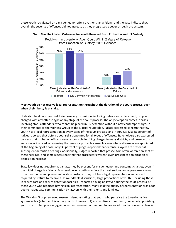these youth recidivated on a misdemeanor offense rather than a felony, and the data indicate that, overall, the severity of offenses did not increase as they progressed deeper through the system.



#### **Chart Five: Recidivism Outcomes for Youth Released from Probation and JJS Custody**

#### **Most youth do not receive legal representation throughout the duration of the court process, even when their liberty is at stake.**

Utah statute allows the court to impose any disposition, including out-of-home placement, on youth charged with any offense type at any stage of the court process. The only exception comes in cases involving status offenders, who cannot be placed in JJS detention without a new contempt charge. In their comments to the Working Group at the judicial roundtable, judges expressed concern that few youth have legal representation at every stage of the court process, and in surveys, just 38 percent of judges reported that defense counsel is appointed for all types of offenses. Stakeholders also expressed concern that probation officers were responsible for filing charges in many districts, and prosecutors were never involved in reviewing the cases for probable cause. In cases where attorneys are appointed at the beginning of a case, only 35 percent of judges reported that defense lawyers are present at subsequent detention hearings; additionally, judges reported that prosecutors often weren't present at these hearings, and some judges reported that prosecutors weren't even present at adjudication or disposition hearings.

State law does not require that an attorney be present for misdemeanor and contempt charges, even if the initial charge is a felony. As a result, even youth who face the most serious consequence—removal from their home and placement in state custody—may not have legal representation and are not required by statute to receive it. In roundtable discussions, large proportions of youth—including those in secure care and secure detention facilities—reported having no lawyer during the court process. Of those youth who reported having legal representation, many said the quality of representation was poor due to inadequate communication by lawyers with their clients and families.

The Working Group reviewed research demonstrating that youth who perceive the juvenile justice system as fair (whether it is actually fair to them or not) are less likely to reoffend; conversely, punishing youth in an unfair process (again, whether perceived or real) reinforces social disaffection and antisocial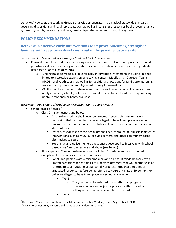behavior.<sup>9</sup> However, the Working Group's analysis demonstrates that a lack of statewide standards governing dispositions and legal representation, as well as inconsistent responses by the juvenile justice system to youth by geography and race, create disparate outcomes through the system.

# **POLICY RECOMMENDATIONS**

# **Reinvest in effective early interventions to improve outcomes, strengthen families, and keep lower-level youth out of the juvenile justice system**

*Reinvestment in Graduated Responses for Pre-Court Early Intervention*

- Reinvestment of averted costs and savings from reductions in out-of-home placement should prioritize evidence-based early interventions as part of a statewide tiered system of graduated responses prior to a court referral.
	- $\circ$  Funding must be made available for early intervention investments including, but not limited to, statewide expansion of receiving centers, Mobile Crisis Outreach Teams (MCOT), and youth courts, as well as for additional allocations for family strengthening programs and proven community-based truancy interventions.
	- $\circ$  MCOTs shall be expanded statewide and shall be authorized to accept referrals from family members, schools, or law enforcement officers for youth who are experiencing mental, emotional, or behavioral crises.

#### *Statewide Tiered System of Graduated Responses Prior to Court Referral*

 $\bullet$  School-based offenses<sup>10</sup>

l

- o Class C misdemeanors and below
	- An enrolled student shall never be arrested, issued a citation, or have a complaint filed on them for behavior alleged to have taken place in a school environment if that behavior constitutes a class C misdemeanor, infraction, or status offense.
	- Instead, responses to these behaviors shall occur through multidisciplinary early interventions such as MCOTs, receiving centers, and other community-based alternatives to court.
	- Youth may also utilize the tiered responses developed to intervene with schoolbased class B misdemeanors and above (see below).
- o All non-person Class A misdemeanors and all class B misdemeanors with limited exceptions for certain class B persons offenses
	- For all non-person Class A misdemeanors and all class B misdemeanors (with limited exceptions for certain class B persons offenses) that would otherwise be referred to court, youth must fail to fully progress through a tiered set of graduated responses before being referred to court or to law enforcement for behavior alleged to have taken place in a school environment:
		- Tier 1:
			- o The youth must be referred to a youth court program or comparable restorative justice program within the school setting rather than receive a referral to court.
		- Tier 2:

<sup>&</sup>lt;sup>9</sup> Dr. Edward Mulvey, Presentation to the Utah Juvenile Justice Working Group, September 1, 2016

 $10$  Law enforcement may be consulted to make charge determinations.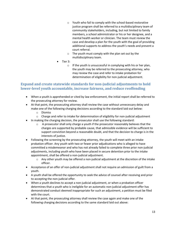- o Youth who fail to comply with the school-based restorative justice program shall be referred to a multidisciplinary team of community stakeholders, including, but not limited to family members, a school administrator or his or her designee, and a mental health worker or clinician. The team must review the case and develop a plan for the youth with the goal of providing additional supports to address the youth's needs and prevent a court referral.
- o The youth must comply with the plan set out by the multidisciplinary team.
- Tier 3:
	- $\circ$  If the youth is unsuccessful in complying with his or her plan, the youth may be referred to the prosecuting attorney, who may review the case and refer to intake probation for determination of eligibility for non-judicial adjustment.

# **Expand and create statewide standards for non-judicial adjustments to hold lower-level youth accountable, increase fairness, and reduce reoffending**

- When a youth is apprehended or cited by law enforcement, the initial report shall be referred to the prosecuting attorney for review.
- At that point, the prosecuting attorney shall review the case without unnecessary delay and make one of the following charging decisions according to the standard laid out below:
	- o Dismiss
	- $\circ$  Charge and refer to intake for determination of eligibility for non-judicial adjustment
- In making the charging decision, the prosecutor shall use the following standard:
	- $\circ$  A prosecutor shall only charge a youth if the prosecutor reasonably believes that the charges are supported by probable cause, that admissible evidence will be sufficient to support conviction beyond a reasonable doubt, and that the decision to charge is in the interests of justice.
- Following the screening by the prosecuting attorney, the youth will meet with an intake probation officer. Any youth with two or fewer prior adjudications who is alleged to have committed a misdemeanor and who has not already failed to complete three prior non-judicial adjustments, including youth who have been placed in secure detention prior to the intake appointment, shall be offered a non-judicial adjustment.
	- $\circ$  Any other youth may be offered a non-judicial adjustment at the discretion of the intake officer.
- Acceptance of an offer of non-judicial adjustment shall not require an admission of guilt from a youth.
- A youth shall be offered the opportunity to seek the advice of counsel after receiving and prior to accepting the non-judicial offer.
- When a youth declines to accept a non-judicial adjustment, or when a probation officer determines that a youth who is ineligible for an automatic non-judicial adjustment offer has demonstrated conduct deemed inappropriate for such an adjustment, a petition must be filed with the court.
- At that point, the prosecuting attorney shall review the case again and make one of the following charging decisions according to the same standard laid out above: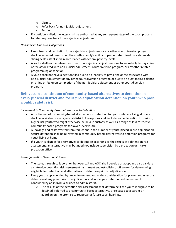- o Dismiss
- o Refer back for non-judicial adjustment
- o Petition
- If a petition is filed, the judge shall be authorized at any subsequent stage of the court process to refer any case back for non-judicial adjustment.

#### *Non-Judicial Financial Obligations*

- Fines, fees, and restitution for non-judicial adjustment or any other court diversion program shall be assessed based upon the youth's family's ability to pay as determined by a statewide sliding scale established in accordance with federal poverty levels.
- A youth shall not be refused an offer for non-judicial adjustment due to an inability to pay a fine or fee associated with non-judicial adjustment, court diversion program, or any other related programming or sanction.
- A youth shall not have a petition filed due to an inability to pay a fine or fee associated with non-judicial adjustment or any other court diversion program, or due to an outstanding balance on a fine or fee upon completion of the non-judicial adjustment or other court diversion program.

# **Reinvest in a continuum of community-based alternatives to detention in every judicial district and focus pre-adjudication detention on youth who pose a public safety risk**

#### *Investment in Community-Based Alternatives to Detention*

- A continuum of community-based alternatives to detention for youth who are living at home shall be available in every judicial district. The options shall include home detention for serious, higher risk youth who might otherwise be held in custody as well as a range of less restrictive, community-based programs for lower-level youth.
- All savings and costs averted from reductions in the number of youth placed in pre-adjudication secure detention shall be reinvested in community-based alternatives to detention programs for youth living at home.
- If a youth is eligible for alternatives to detention according to the results of a detention risk assessment, an alternative may but need not include supervision by a probation or intake probation officer.

#### *Pre-Adjudication Detention Criteria*

- The state, through collaboration between JJS and AOC, shall develop or adopt and also validate a statewide detention risk assessment instrument and establish cutoff scores for determining eligibility for detention and alternatives to detention prior to adjudication.
- Every youth apprehended by law enforcement and under consideration for placement in secure detention at any point prior to adjudication shall undergo a detention risk assessment conducted by an individual trained to administer it.
	- $\circ$  The results of the detention risk assessment shall determine if the youth is eligible to be detained, referred to a community-based alternative, or released to a parent or guardian on the promise to reappear at future court hearings.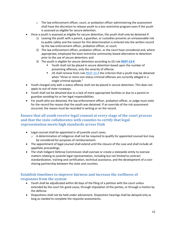- $\circ$  The law enforcement officer, court, or probation officer administering the assessment shall have the discretion to release youth to a less restrictive program even if the youth is assessed as eligible for secure detention.
- Once a youth is assessed as eligible for secure detention, the youth shall only be detained if:
	- 1) Leaving the youth with a parent, a guardian, or custodian presents an unreasonable risk to public safety and the reason for this determination is entered into the written record by the law enforcement officer, probation officer, or court;
	- 2) The law enforcement officer, probation officer, or the court have considered and, where appropriate, employed the least restrictive community-based alternative to detention prior to the use of secure detention; and
	- 3) The youth is eligible for secure detention according to JJS rule **[R547-13-4](http://www.rules.utah.gov/publicat/code/r547/r547-013.htm#E4)**
		- Youth shall not be placed in secure detention based upon the number of presenting offenses, only the severity of offense.
		- JJS shall remove from rul[e R547-13-4](http://www.rules.utah.gov/publicat/code/r547/r547-013.htm#E4) the criterion that a youth may be detained when "three or more non-status criminal offenses are currently alleged in a single criminal episode."
- Youth charged only with a status offense shall not be placed in secure detention. This does not apply to out-of-state runaways.
- Youth shall not be detained due to a lack of more appropriate facilities or due to a parent or guardian avoiding his or her legal responsibilities.
- For youth who are detained, the law enforcement officer, probation officer, or judge must state for the record the reason that the youth was detained. If an override of the risk assessment occurred, the reason must be recorded in writing or on the record.

# **Ensure that all youth receive legal counsel at every stage of the court process and that the state collaborates with counties to certify that legal representation meets high standards across Utah**

- Legal counsel shall be appointed in all juvenile court cases.
	- $\circ$  A determination of indigence shall not be required to qualify for appointed counsel but may be considered for purposes of reimbursement.
- The appointment of legal counsel shall extend until the closure of the case and shall include all appellate proceedings.
- The Utah Indigent Defense Commission shall oversee or create a statewide entity to oversee matters relating to juvenile legal representation, including but not limited to contract standardization, training and certification, technical assistance, and the development of a costsharing partnership between the state and counties.

# **Establish timelines to improve fairness and increase the swiftness of responses from the system**

- Youth shall be adjudicated within 60 days of the filing of a petition with the court unless extended by the court for good cause, through stipulation of the parties, or through a motion by the defense.
- Dispositions shall not be held under advisement. Disposition hearings shall be delayed only as long as needed to complete the requisite assessments.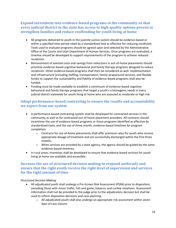# **Expand investment into evidence-based programs in the community so that every judicial district in the state has access to high-quality options proven to strengthen families and reduce reoffending for youth living at home**

- All programs delivered to youth in the juvenile justice system should be evidence-based or within a specified time period rated by a standardized tool as effective for reducing recidivism. Tools used to evaluate programs should be agreed upon and selected by the Administrative Office of the Courts and Utah Department of Human Services. Once programs are evaluated, a timeline should be developed to support improvements of the program to achieve reduced recidivism.
- Reinvestment of averted costs and savings from reductions in out-of-home placements should prioritize evidence-based cognitive behavioral and family therapy programs designed to reduce recidivism. Other evidence-based programs shall then be considered as well. Implementation and infrastructure (including staffing, transportation, family wraparound services, and flexible funds) to support the sustainability and fidelity of evidence-based programs shall also be funded.
- Funding must be made available to establish a continuum of evidence-based cognitive behavioral and family therapy programs that target a youth's criminogenic needs in every judicial district statewide for youth living at home who are assessed as moderate or high risk.

# **Adopt performance-based contracting to ensure the results and accountability we expect from our system**

- A performance-based contracting system shall be developed for contracted services in the community as well as for contracted out-of-home placement providers. All contracts should incentivize the use of evidence-based programs or those programs identified as effective by standardized tools, and the use of three-month, evidence-based timelines for program completion.
	- $\circ$  Contracts for out-of-home placements shall offer premium rates for youth who receive appropriate dosage of treatment and are successfully discharged within the first three months.
	- $\circ$  When services are provided by a state agency, the agency should be guided by the same evidence-based timelines.
- In rural areas, incentives shall be developed to ensure that evidence-based services for youth living at home are available and accessible.

# **Increase the use of structured decision making to respond uniformly and ensure that the right youth receive the right level of supervision and services for the right amount of time**

#### *Structured Decision Making*

- All adjudicated youth shall undergo a Pre-Screen Risk Assessment (PSRA) prior to disposition, excluding those with minor traffic, fish and game, tobacco, and curfew violations. Assessment information shall not be provided to the judge prior to the adjudicatory decision but shall be used to inform disposition decisions and case planning.
	- o All adjudicated youth shall also undergo an appropriate risk assessment within seven days of case closure.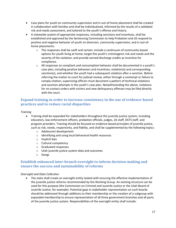- Case plans for youth on community supervision and in out-of-home placement shall be created in collaboration with families and shall be individualized, informed by the results of a validated risk and needs assessment, and tailored to the youth's offense and history.
- A statewide system of appropriate responses, including sanctions and incentives, shall be established and approved by the Sentencing Commission to help Probation and JJS respond to positive and negative behavior of youth on diversion, community supervision, and in out-ofhome placements.
	- $\circ$  The responses shall be swift and certain; include a continuum of community-based options for youth living at home; target the youth's criminogenic risk and needs and the severity of the violation; and provide earned discharge credits as incentive for compliance.
	- $\circ$  All responses to compliant and noncompliant behavior shall be documented in a youth's case plan, including positive behaviors and incentives, violation(s) and corresponding sanction(s), and whether the youth had a subsequent violation after a sanction. Before referring the matter to court for judicial review, either through a contempt or failure to comply citation, supervising officers must document a pattern of technical violations and sanction attempts in the youth's case plan. Notwithstanding the above, violations for no-contact orders with victims and new delinquency offenses may be filed directly with the court.

# **Expand training in order to increase consistency in the use of evidence-based practices and to reduce racial disparities**

#### *Training*

- Training shall be expanded for stakeholders throughout the juvenile justice system, including educators, law enforcement officers, probation officials, judges, JJS staff, DCFS staff, and program providers. Training should be focused on evidence-based principles of juvenile justice, such as risk, needs, responsivity, and fidelity, and shall be supplemented by the following topics:
	- o Adolescent development
	- o Identifying and using local behavioral health resources
	- o Implicit bias
	- o Cultural competency
	- o Graduated responses
	- o Utah juvenile justice system data and outcomes
	- o Gangs

# **Establish enhanced inter-branch oversight to inform decision-making and ensure the success and sustainability of reforms**

#### *Oversight and Data Collection*

• The state shall create an oversight entity tasked with ensuring the effective implementation of the juvenile justice reforms recommended by the Working Group. An existing structure can be used for this purpose (the Commission on Criminal and Juvenile Justice or the Utah Board of Juvenile Justice, for example). Potential gaps in stakeholder representation on such boards should be addressed through additions to their membership or the creation of a subgroup with expanded membership to ensure representation of all three government branches and all parts of the juvenile justice system. Responsibilities of the oversight entity shall include: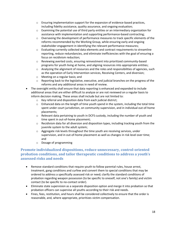- $\circ$  Ensuring implementation support for the expansion of evidence-based practices, including fidelity assistance, quality assurance, and ongoing evaluation;
- $\circ$  Examining the potential use of third party entities or an intermediary organization for assistance with implementation and supporting performance-based contracting;
- $\circ$  Overseeing the development of performance measures to track specific elements of the reforms recommended by the Working Group, while ensuring early and ongoing stakeholder engagement in identifying the relevant performance measures;
- o Evaluating currently collected data elements and contract requirements to streamline reporting, reduce redundancies, and eliminate inefficiencies with the goal of ensuring a focus on recidivism reduction;
- $\circ$  Reviewing averted costs, ensuring reinvestment into prioritized community-based programs for youth living at home, and aligning resources into appropriate entities;
- o Analyzing the alignment of resources and the roles and responsibilities of agencies, such as the operation of Early Intervention services, Receiving Centers, and diversion;
- o Meeting on a regular basis; and
- $\circ$  Reporting back to the legislative, executive, and judicial branches on the progress of the reforms and any additional areas in need of review.
- The oversight entity shall ensure that data reporting is enhanced and expanded to include additional areas that are either difficult to analyze or are not reviewed on a regular basis to inform decision making. These areas shall include but are not limited to:
	- o Key referral and disposition data from each judicial district;
	- $\circ$  Enhanced data on the length of time youth spend in the system, including the total time spent under court jurisdiction, on community supervision, and in individual out-of-home placements;
	- $\circ$  Relevant data pertaining to youth in DCFS custody, including the number of youth and time spent in out-of-home placement;
	- o Recidivism data for all diversion and disposition types, including tracking youth from the juvenile system to the adult system;
	- o Aggregate risk levels throughout the time youth are receiving services, under supervision, and in out-of-home placement as well as changes in risk level over time; and
	- o Dosage of programming

# **Promote individualized dispositions, reduce unnecessary, control-oriented probation conditions, and tailor therapeutic conditions to address a youth's assessed risks and needs**

- Remove standard conditions that require youth to follow parental rules, house arrest, treatment, gang conditions and curfew and convert them to special conditions that may be ordered to address a specifically assessed risk or need; clarify the standard conditions of probation regarding weapon possession (to be specific to oneself, not one's family) and victim contact (to be specific to no-contact order).
- Eliminate state supervision as a separate disposition option and merge it into probation so that probation officers can supervise all youths according to their risk and needs.
- Fines, fees, restitution, and hours shall be considered collectively to ensure that the order is reasonable, and, where appropriate, prioritizes victim compensation.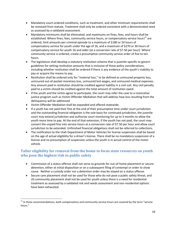- Mandatory court-ordered conditions, such as treatment, and other minimum requirements shall be removed from statute. Treatment shall only be ordered consistent with a demonstrated need as assessed by a validated assessment.
- Mandatory minimums shall be eliminated, and maximums on fines, fees, and hours shall be established. Where fines, fees, community service hours, or compensatory service hours<sup>11</sup> are ordered, limit amounts per criminal episode to a maximum of \$180 or 24 hours of compensatory service for youth under the age of 16, and a maximum of \$270 or 36 hours of compensatory service for youth 16 and older (at a conversion rate of \$7.50 per hour). Where community service is ordered, create a presumptive community service order of five to ten hours.
- The legislature shall develop a statutory restitution scheme that is juvenile-specific to govern guidelines for setting restitution amounts that is inclusive of these policy considerations, including whether restitution shall be ordered if there is any evidence of the youth's inability to pay or acquire the means to pay.
- Restitution shall be ordered only for "material loss," to be defined as uninsured property loss, uninsured out-of-pocket monetary loss, uninsured lost wages, and uninsured medical expenses. Any amount paid in restitution should be credited against liability in a civil suit. Any civil penalty paid to a victim should be credited against the total amount of restitution owed.
- If the youth and the victim agree to participate, the court may refer the case to a restorative justice program such as Victim Offender Mediation that will address how loss resulting from the delinquency will be addressed.
- Victim Offender Mediation shall be expanded and offered statewide.
- If a youth has not paid their fine at the end of their presumptive time under court jurisdiction and the outstanding financial obligation is the sole basis for continued jurisdiction, the juvenile court may extend jurisdiction and authorize court monitoring for up to 3 months to allow the youth more time to pay. At the end of that extension, if the youth has not paid, the court may convert the unpaid fine into service hours at a conversion rate of \$7.50 per hour and allow court jurisdiction to be extended. Unfinished financial obligations shall not be referred to collections.
- The notification to the Utah Department of Motor Vehicles for license suspension shall be based on the age of actual eligibility for a driver's license. There shall be no mandatory suspension of a license and no presumption of suspension unless the youth is in actual control of the motor vehicle.

# **Tailor eligibility for removal from the home to focus state resources on youth who pose the highest risk to public safety**

- Commission of a status offense shall not serve as grounds for out-of-home placement or secure detention, either at initial disposition or on a subsequent filing of contempt or order to show cause. Neither a custody order nor a detention order may be stayed on a status offense.
- Secure care placement shall not be used for those who do not pose a public safety threat, and JJS community placement shall not be used for youth unless there is a need for residential treatment as assessed by a validated risk and needs assessment and non-residential options have been exhausted.

l

 $11$  In these recommendations, both compensatory and community service hours are covered by the term "service" hours."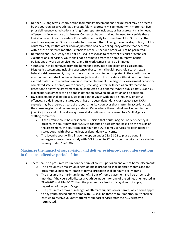- Neither JJS long-term custody option (community placement and secure care) may be ordered by the court unless a youth has a present felony; a present misdemeanor with more than five prior delinquency adjudications arising from separate incidents, or has a present misdemeanor offense that involves use of a firearm. Contempt charges shall not be used to override these limitations on JJS custody orders. For youth who qualify for commitment to JJS custody, the court may suspend a JJS custody order for three months following the initial disposition, but the court may only lift that order upon adjudication of a new delinquency offense that occurred within those first three months. Extensions of the suspended order will not be permitted.
- Detention and JJS custody shall not be used in response to contempt of court or technical violations of supervision. Youth shall not be removed from the home to repay financial obligations or work off service hours, and JJS work camps shall be eliminated.
- Youth shall not be removed from the home for observation and diagnostic assessment. Diagnostic assessment, including substance abuse, mental health, psychological or sexual behavior risk assessment, may be ordered by the court to be completed in the youth's home environment and shall be funded in every judicial district in the state with reinvestment from averted costs due to reductions in out-of-home placement. If a diagnostic assessment cannot be completed safely in home, Youth Services/Receiving Centers will used as an alternative to detention to allow the assessment to be completed out of home. Where public safety is at risk, diagnostic assessments can be done in detention between adjudication and disposition.
- DCFS placement shall not be a custody option for youth with only delinquency or status offenses. If a delinquent or status youth has an abuse, dependency, or neglect case, DCFS custody may be ordered as part of the court's jurisdiction over that matter, in accordance with the abuse, neglect, and dependency statutes. Cases where there is dual involvement in the juvenile justice and child welfare systems shall continue to be referred to a Multi-Agency Staffing committee.
	- $\circ$  If the juvenile court has reasonable suspicion that abuse, neglect, or dependency is present, the court may order DCFS to conduct an assessment. Based on the results of the assessment, the court can order in-home DCFS family services for delinquent or status youth with abuse, neglect, or dependency concerns.
	- $\circ$  The juvenile court will still have the option under 78a-6-302 to place a youth in emergency protective custody with DCFS for up to 72 hours per the criteria for a shelter hearing under 78a-6-307.

# **Maximize the impact of supervision and deliver evidence-based interventions in the most effective period of time**

- There shall be a presumptive limit on the term of court supervision and out-of-home placement:
	- $\circ$  The presumptive maximum length of intake probation shall be three months and the presumptive maximum length of formal probation shall be four to six months.
	- $\circ$  The presumptive maximum length of JJS out-of-home placement shall be three to six months. If the court adjudicates a youth delinquent for one of the crimes enumerated in 78a-6-701 and 78a-6-702, then the presumptive length of stay does not apply, regardless of the youth's age.
	- $\circ$  The presumptive maximum length of aftercare supervision or parole, which could apply to any youth placed out of home with JJS, shall be three to four months. Youth shall be entitled to receive voluntary aftercare support services after their JJS custody is terminated.